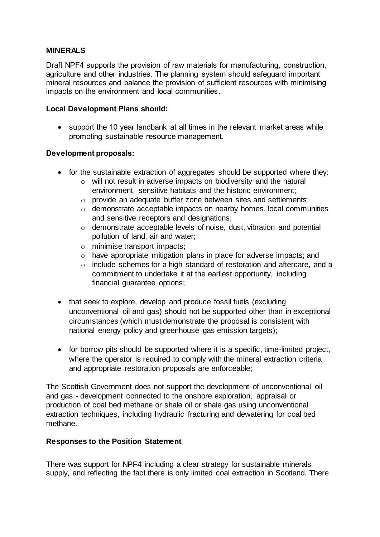# **MINERALS**

Draft NPF4 supports the provision of raw materials for manufacturing, construction, agriculture and other industries. The planning system should safeguard important mineral resources and balance the provision of sufficient resources with minimising impacts on the environment and local communities.

#### **Local Development Plans should:**

• support the 10 year landbank at all times in the relevant market areas while promoting sustainable resource management.

## **Development proposals:**

- for the sustainable extraction of aggregates should be supported where they:
	- o will not result in adverse impacts on biodiversity and the natural environment, sensitive habitats and the historic environment;
	- o provide an adequate buffer zone between sites and settlements;
	- o demonstrate acceptable impacts on nearby homes, local communities and sensitive receptors and designations;
	- o demonstrate acceptable levels of noise, dust, vibration and potential pollution of land, air and water;
	- o minimise transport impacts;
	- o have appropriate mitigation plans in place for adverse impacts; and
	- o include schemes for a high standard of restoration and aftercare, and a commitment to undertake it at the earliest opportunity, including financial guarantee options;
- that seek to explore, develop and produce fossil fuels (excluding unconventional oil and gas) should not be supported other than in exceptional circumstances (which must demonstrate the proposal is consistent with national energy policy and greenhouse gas emission targets);
- for borrow pits should be supported where it is a specific, time-limited project, where the operator is required to comply with the mineral extraction criteria and appropriate restoration proposals are enforceable;

The Scottish Government does not support the development of unconventional oil and gas - development connected to the onshore exploration, appraisal or production of coal bed methane or shale oil or shale gas using unconventional extraction techniques, including hydraulic fracturing and dewatering for coal bed methane.

#### **Responses to the Position Statement**

There was support for NPF4 including a clear strategy for sustainable minerals supply, and reflecting the fact there is only limited coal extraction in Scotland. There